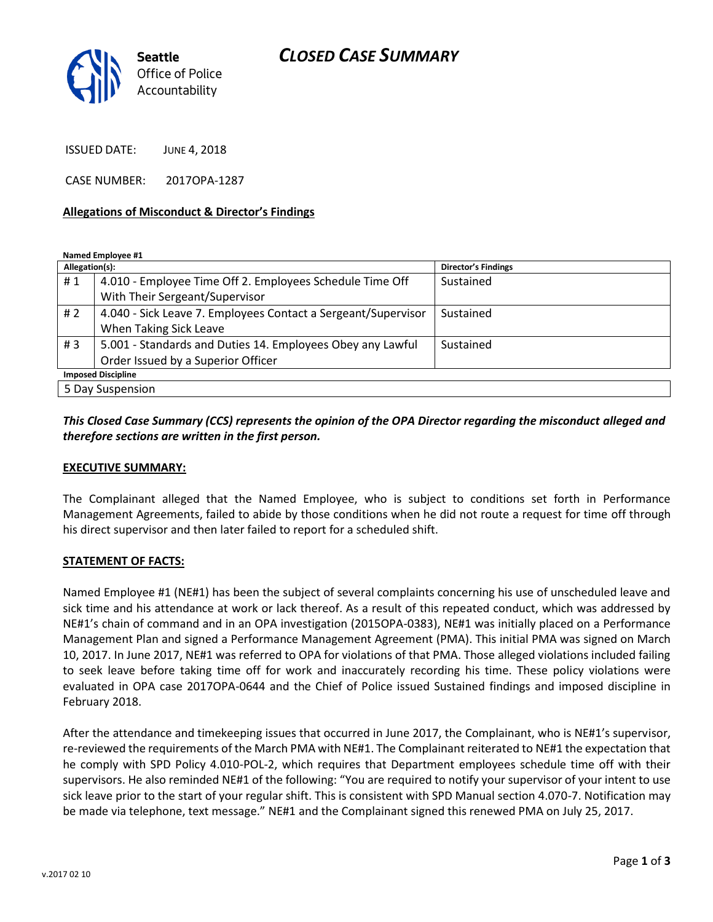# *CLOSED CASE SUMMARY*



ISSUED DATE: JUNE 4, 2018

CASE NUMBER: 2017OPA-1287

#### **Allegations of Misconduct & Director's Findings**

**Named Employee #1**

| Allegation(s):            |                                                               | Director's Findings |
|---------------------------|---------------------------------------------------------------|---------------------|
| #1                        | 4.010 - Employee Time Off 2. Employees Schedule Time Off      | Sustained           |
|                           | With Their Sergeant/Supervisor                                |                     |
| #2                        | 4.040 - Sick Leave 7. Employees Contact a Sergeant/Supervisor | Sustained           |
|                           | When Taking Sick Leave                                        |                     |
| #3                        | 5.001 - Standards and Duties 14. Employees Obey any Lawful    | Sustained           |
|                           | Order Issued by a Superior Officer                            |                     |
| <b>Imposed Discipline</b> |                                                               |                     |
| 5 Day Suspension          |                                                               |                     |

## *This Closed Case Summary (CCS) represents the opinion of the OPA Director regarding the misconduct alleged and therefore sections are written in the first person.*

#### **EXECUTIVE SUMMARY:**

The Complainant alleged that the Named Employee, who is subject to conditions set forth in Performance Management Agreements, failed to abide by those conditions when he did not route a request for time off through his direct supervisor and then later failed to report for a scheduled shift.

#### **STATEMENT OF FACTS:**

Named Employee #1 (NE#1) has been the subject of several complaints concerning his use of unscheduled leave and sick time and his attendance at work or lack thereof. As a result of this repeated conduct, which was addressed by NE#1's chain of command and in an OPA investigation (2015OPA-0383), NE#1 was initially placed on a Performance Management Plan and signed a Performance Management Agreement (PMA). This initial PMA was signed on March 10, 2017. In June 2017, NE#1 was referred to OPA for violations of that PMA. Those alleged violations included failing to seek leave before taking time off for work and inaccurately recording his time. These policy violations were evaluated in OPA case 2017OPA-0644 and the Chief of Police issued Sustained findings and imposed discipline in February 2018.

After the attendance and timekeeping issues that occurred in June 2017, the Complainant, who is NE#1's supervisor, re-reviewed the requirements of the March PMA with NE#1. The Complainant reiterated to NE#1 the expectation that he comply with SPD Policy 4.010-POL-2, which requires that Department employees schedule time off with their supervisors. He also reminded NE#1 of the following: "You are required to notify your supervisor of your intent to use sick leave prior to the start of your regular shift. This is consistent with SPD Manual section 4.070-7. Notification may be made via telephone, text message." NE#1 and the Complainant signed this renewed PMA on July 25, 2017.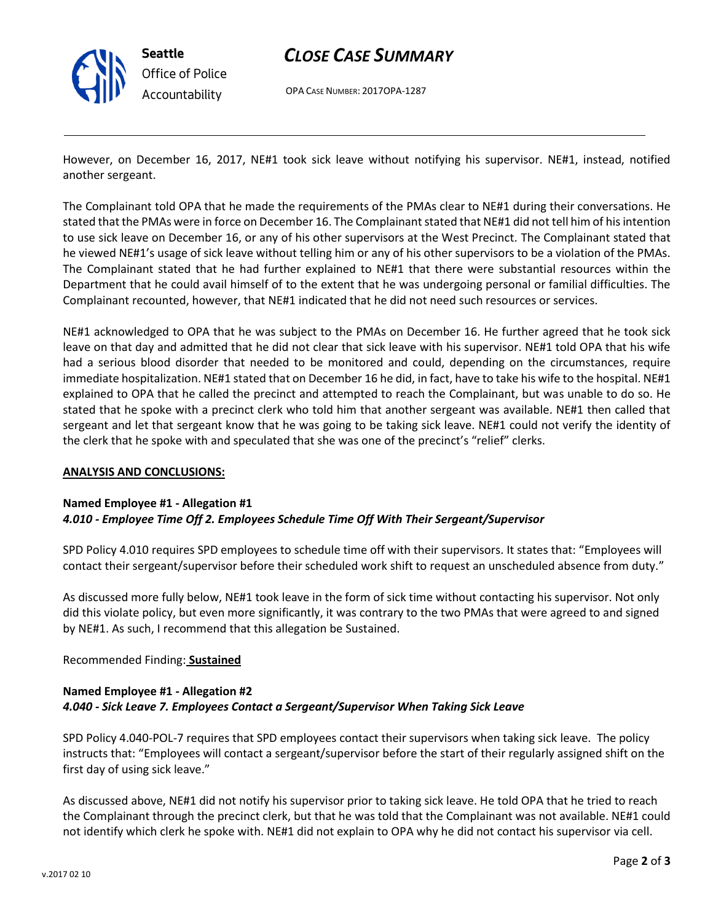

# *CLOSE CASE SUMMARY*

OPA CASE NUMBER: 2017OPA-1287

However, on December 16, 2017, NE#1 took sick leave without notifying his supervisor. NE#1, instead, notified another sergeant.

The Complainant told OPA that he made the requirements of the PMAs clear to NE#1 during their conversations. He stated that the PMAs were in force on December 16. The Complainant stated that NE#1 did not tell him of his intention to use sick leave on December 16, or any of his other supervisors at the West Precinct. The Complainant stated that he viewed NE#1's usage of sick leave without telling him or any of his other supervisors to be a violation of the PMAs. The Complainant stated that he had further explained to NE#1 that there were substantial resources within the Department that he could avail himself of to the extent that he was undergoing personal or familial difficulties. The Complainant recounted, however, that NE#1 indicated that he did not need such resources or services.

NE#1 acknowledged to OPA that he was subject to the PMAs on December 16. He further agreed that he took sick leave on that day and admitted that he did not clear that sick leave with his supervisor. NE#1 told OPA that his wife had a serious blood disorder that needed to be monitored and could, depending on the circumstances, require immediate hospitalization. NE#1 stated that on December 16 he did, in fact, have to take his wife to the hospital. NE#1 explained to OPA that he called the precinct and attempted to reach the Complainant, but was unable to do so. He stated that he spoke with a precinct clerk who told him that another sergeant was available. NE#1 then called that sergeant and let that sergeant know that he was going to be taking sick leave. NE#1 could not verify the identity of the clerk that he spoke with and speculated that she was one of the precinct's "relief" clerks.

### **ANALYSIS AND CONCLUSIONS:**

### **Named Employee #1 - Allegation #1**

### *4.010 - Employee Time Off 2. Employees Schedule Time Off With Their Sergeant/Supervisor*

SPD Policy 4.010 requires SPD employees to schedule time off with their supervisors. It states that: "Employees will contact their sergeant/supervisor before their scheduled work shift to request an unscheduled absence from duty."

As discussed more fully below, NE#1 took leave in the form of sick time without contacting his supervisor. Not only did this violate policy, but even more significantly, it was contrary to the two PMAs that were agreed to and signed by NE#1. As such, I recommend that this allegation be Sustained.

Recommended Finding: **Sustained**

## **Named Employee #1 - Allegation #2** *4.040 - Sick Leave 7. Employees Contact a Sergeant/Supervisor When Taking Sick Leave*

SPD Policy 4.040-POL-7 requires that SPD employees contact their supervisors when taking sick leave. The policy instructs that: "Employees will contact a sergeant/supervisor before the start of their regularly assigned shift on the first day of using sick leave."

As discussed above, NE#1 did not notify his supervisor prior to taking sick leave. He told OPA that he tried to reach the Complainant through the precinct clerk, but that he was told that the Complainant was not available. NE#1 could not identify which clerk he spoke with. NE#1 did not explain to OPA why he did not contact his supervisor via cell.